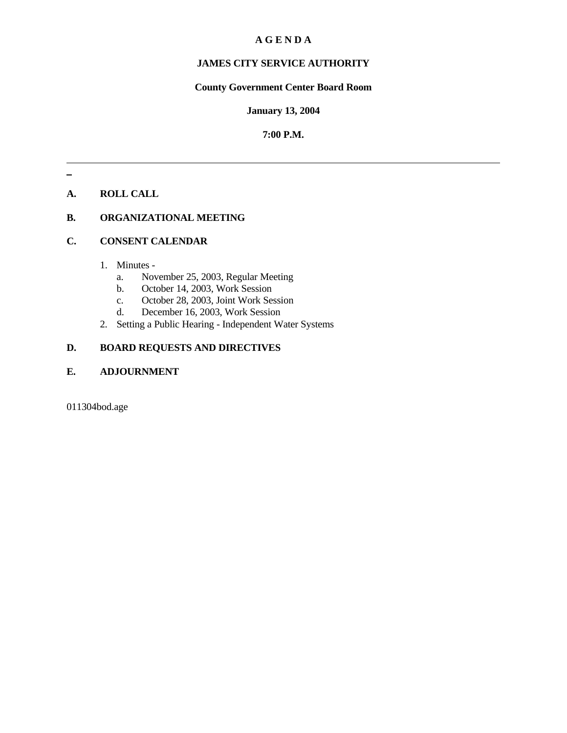# **A G E N D A**

# **JAMES CITY SERVICE AUTHORITY**

# **County Government Center Board Room**

#### **January 13, 2004**

# **7:00 P.M.**

# **A. ROLL CALL**

# **B. ORGANIZATIONAL MEETING**

### **C. CONSENT CALENDAR**

- 1. Minutes
	- a. November 25, 2003, Regular Meeting
	- b. October 14, 2003, Work Session
	- c. October 28, 2003, Joint Work Session
	- d. December 16, 2003, Work Session
- 2. Setting a Public Hearing Independent Water Systems

# **D. BOARD REQUESTS AND DIRECTIVES**

# **E. ADJOURNMENT**

011304bod.age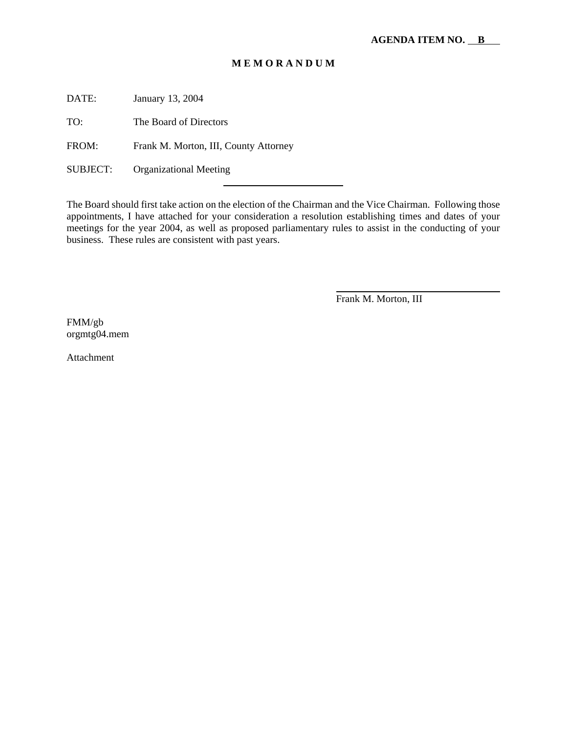# **M E M O R A N D U M**

DATE: January 13, 2004

TO: The Board of Directors

FROM: Frank M. Morton, III, County Attorney

l

SUBJECT: Organizational Meeting

The Board should first take action on the election of the Chairman and the Vice Chairman. Following those appointments, I have attached for your consideration a resolution establishing times and dates of your meetings for the year 2004, as well as proposed parliamentary rules to assist in the conducting of your business. These rules are consistent with past years.

Frank M. Morton, III

FMM/gb orgmtg04.mem

Attachment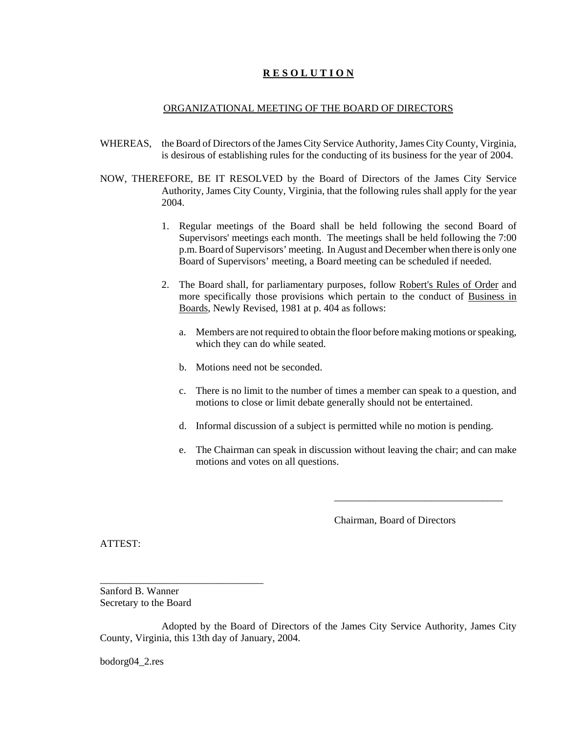## **R E S O L U T I O N**

#### ORGANIZATIONAL MEETING OF THE BOARD OF DIRECTORS

- WHEREAS, the Board of Directors of the James City Service Authority, James City County, Virginia, is desirous of establishing rules for the conducting of its business for the year of 2004.
- NOW, THEREFORE, BE IT RESOLVED by the Board of Directors of the James City Service Authority, James City County, Virginia, that the following rules shall apply for the year 2004.
	- 1. Regular meetings of the Board shall be held following the second Board of Supervisors' meetings each month. The meetings shall be held following the 7:00 p.m. Board of Supervisors' meeting. In August and December when there is only one Board of Supervisors' meeting, a Board meeting can be scheduled if needed.
	- 2. The Board shall, for parliamentary purposes, follow Robert's Rules of Order and more specifically those provisions which pertain to the conduct of Business in Boards, Newly Revised, 1981 at p. 404 as follows:
		- a. Members are not required to obtain the floor before making motions or speaking, which they can do while seated.
		- b. Motions need not be seconded.
		- c. There is no limit to the number of times a member can speak to a question, and motions to close or limit debate generally should not be entertained.
		- d. Informal discussion of a subject is permitted while no motion is pending.
		- e. The Chairman can speak in discussion without leaving the chair; and can make motions and votes on all questions.

Chairman, Board of Directors

\_\_\_\_\_\_\_\_\_\_\_\_\_\_\_\_\_\_\_\_\_\_\_\_\_\_\_\_\_\_\_\_\_

ATTEST:

Sanford B. Wanner Secretary to the Board

\_\_\_\_\_\_\_\_\_\_\_\_\_\_\_\_\_\_\_\_\_\_\_\_\_\_\_\_\_\_\_\_

Adopted by the Board of Directors of the James City Service Authority, James City County, Virginia, this 13th day of January, 2004.

bodorg04\_2.res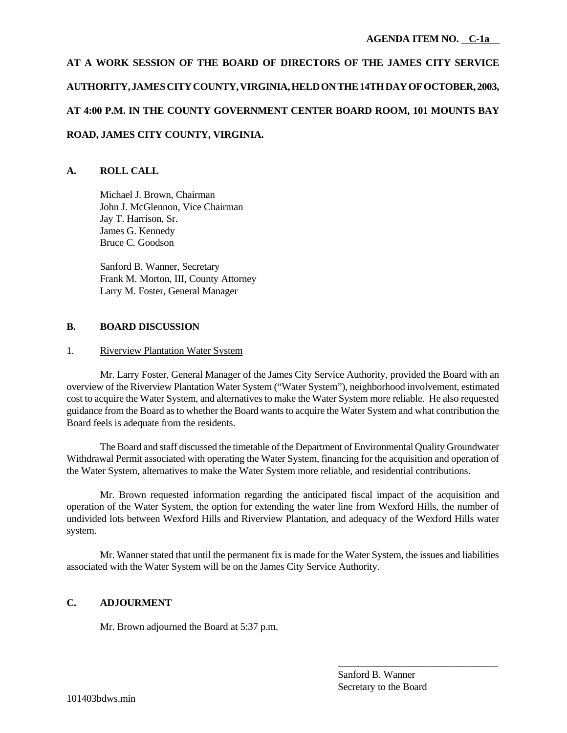# **AT A WORK SESSION OF THE BOARD OF DIRECTORS OF THE JAMES CITY SERVICE AUTHORITY, JAMES CITY COUNTY, VIRGINIA, HELD ON THE 14TH DAY OF OCTOBER, 2003, AT 4:00 P.M. IN THE COUNTY GOVERNMENT CENTER BOARD ROOM, 101 MOUNTS BAY ROAD, JAMES CITY COUNTY, VIRGINIA.**

# **A. ROLL CALL**

Michael J. Brown, Chairman John J. McGlennon, Vice Chairman Jay T. Harrison, Sr. James G. Kennedy Bruce C. Goodson

Sanford B. Wanner, Secretary Frank M. Morton, III, County Attorney Larry M. Foster, General Manager

# **B. BOARD DISCUSSION**

# 1. Riverview Plantation Water System

Mr. Larry Foster, General Manager of the James City Service Authority, provided the Board with an overview of the Riverview Plantation Water System ("Water System"), neighborhood involvement, estimated cost to acquire the Water System, and alternatives to make the Water System more reliable. He also requested guidance from the Board as to whether the Board wants to acquire the Water System and what contribution the Board feels is adequate from the residents.

The Board and staff discussed the timetable of the Department of Environmental Quality Groundwater Withdrawal Permit associated with operating the Water System, financing for the acquisition and operation of the Water System, alternatives to make the Water System more reliable, and residential contributions.

Mr. Brown requested information regarding the anticipated fiscal impact of the acquisition and operation of the Water System, the option for extending the water line from Wexford Hills, the number of undivided lots between Wexford Hills and Riverview Plantation, and adequacy of the Wexford Hills water system.

Mr. Wanner stated that until the permanent fix is made for the Water System, the issues and liabilities associated with the Water System will be on the James City Service Authority.

# **C. ADJOURMENT**

Mr. Brown adjourned the Board at 5:37 p.m.

\_\_\_\_\_\_\_\_\_\_\_\_\_\_\_\_\_\_\_\_\_\_\_\_\_\_\_\_\_\_\_\_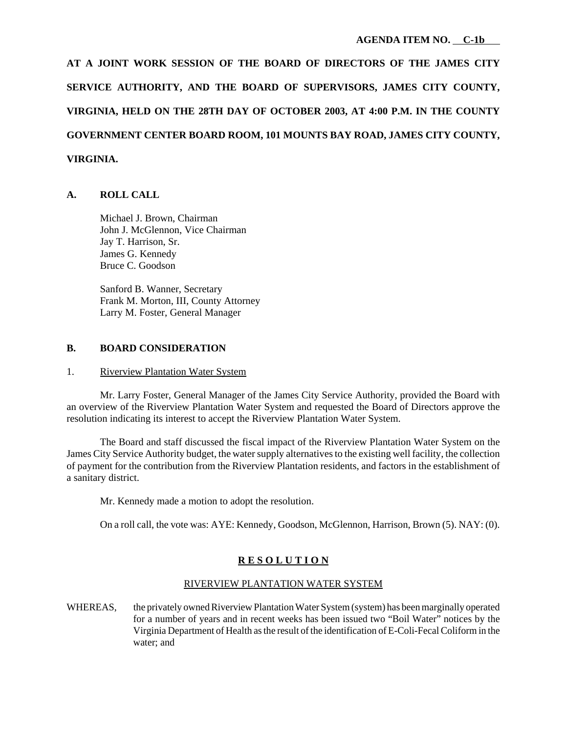**AT A JOINT WORK SESSION OF THE BOARD OF DIRECTORS OF THE JAMES CITY SERVICE AUTHORITY, AND THE BOARD OF SUPERVISORS, JAMES CITY COUNTY, VIRGINIA, HELD ON THE 28TH DAY OF OCTOBER 2003, AT 4:00 P.M. IN THE COUNTY GOVERNMENT CENTER BOARD ROOM, 101 MOUNTS BAY ROAD, JAMES CITY COUNTY, VIRGINIA.**

#### **A. ROLL CALL**

Michael J. Brown, Chairman John J. McGlennon, Vice Chairman Jay T. Harrison, Sr. James G. Kennedy Bruce C. Goodson

Sanford B. Wanner, Secretary Frank M. Morton, III, County Attorney Larry M. Foster, General Manager

#### **B. BOARD CONSIDERATION**

#### 1. Riverview Plantation Water System

Mr. Larry Foster, General Manager of the James City Service Authority, provided the Board with an overview of the Riverview Plantation Water System and requested the Board of Directors approve the resolution indicating its interest to accept the Riverview Plantation Water System.

The Board and staff discussed the fiscal impact of the Riverview Plantation Water System on the James City Service Authority budget, the water supply alternatives to the existing well facility, the collection of payment for the contribution from the Riverview Plantation residents, and factors in the establishment of a sanitary district.

Mr. Kennedy made a motion to adopt the resolution.

On a roll call, the vote was: AYE: Kennedy, Goodson, McGlennon, Harrison, Brown (5). NAY: (0).

## **R E S O L U T I O N**

### RIVERVIEW PLANTATION WATER SYSTEM

WHEREAS, the privately owned Riverview Plantation Water System (system) has been marginally operated for a number of years and in recent weeks has been issued two "Boil Water" notices by the Virginia Department of Health as the result of the identification of E-Coli-Fecal Coliform in the water; and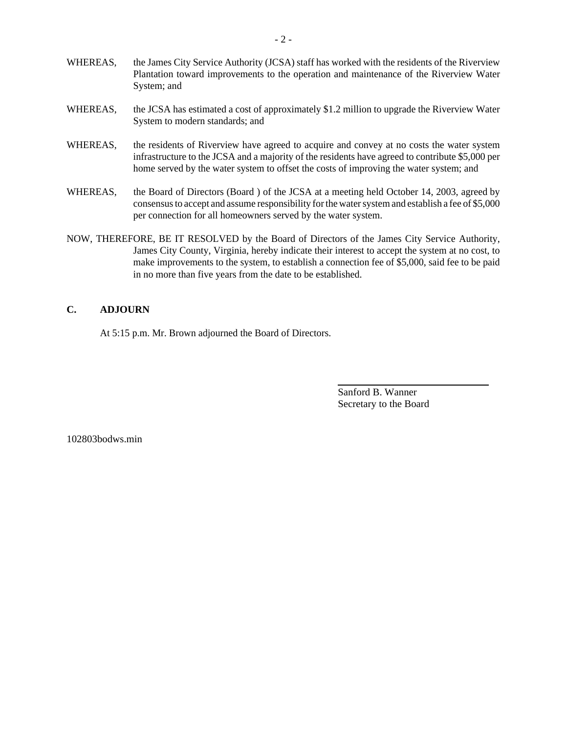- WHEREAS, the James City Service Authority (JCSA) staff has worked with the residents of the Riverview Plantation toward improvements to the operation and maintenance of the Riverview Water System; and
- WHEREAS, the JCSA has estimated a cost of approximately \$1.2 million to upgrade the Riverview Water System to modern standards; and
- WHEREAS, the residents of Riverview have agreed to acquire and convey at no costs the water system infrastructure to the JCSA and a majority of the residents have agreed to contribute \$5,000 per home served by the water system to offset the costs of improving the water system; and
- WHEREAS, the Board of Directors (Board ) of the JCSA at a meeting held October 14, 2003, agreed by consensus to accept and assume responsibility for the water system and establish a fee of \$5,000 per connection for all homeowners served by the water system.
- NOW, THEREFORE, BE IT RESOLVED by the Board of Directors of the James City Service Authority, James City County, Virginia, hereby indicate their interest to accept the system at no cost, to make improvements to the system, to establish a connection fee of \$5,000, said fee to be paid in no more than five years from the date to be established.

## **C. ADJOURN**

At 5:15 p.m. Mr. Brown adjourned the Board of Directors.

Sanford B. Wanner Secretary to the Board

102803bodws.min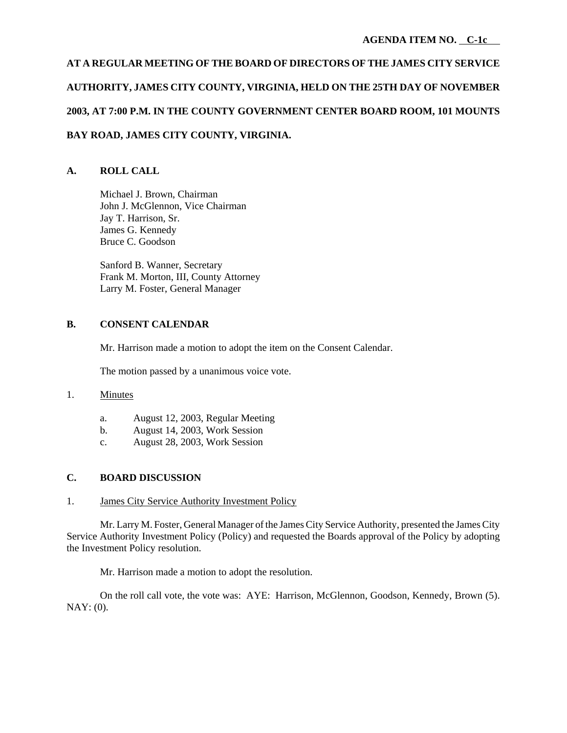# **AT A REGULAR MEETING OF THE BOARD OF DIRECTORS OF THE JAMES CITY SERVICE AUTHORITY, JAMES CITY COUNTY, VIRGINIA, HELD ON THE 25TH DAY OF NOVEMBER 2003, AT 7:00 P.M. IN THE COUNTY GOVERNMENT CENTER BOARD ROOM, 101 MOUNTS BAY ROAD, JAMES CITY COUNTY, VIRGINIA.**

# **A. ROLL CALL**

Michael J. Brown, Chairman John J. McGlennon, Vice Chairman Jay T. Harrison, Sr. James G. Kennedy Bruce C. Goodson

Sanford B. Wanner, Secretary Frank M. Morton, III, County Attorney Larry M. Foster, General Manager

# **B. CONSENT CALENDAR**

Mr. Harrison made a motion to adopt the item on the Consent Calendar.

The motion passed by a unanimous voice vote.

# 1. Minutes

- a. August 12, 2003, Regular Meeting
- b. August 14, 2003, Work Session
- c. August 28, 2003, Work Session

# **C. BOARD DISCUSSION**

## 1. James City Service Authority Investment Policy

Mr. Larry M. Foster, General Manager of the James City Service Authority, presented the James City Service Authority Investment Policy (Policy) and requested the Boards approval of the Policy by adopting the Investment Policy resolution.

Mr. Harrison made a motion to adopt the resolution.

On the roll call vote, the vote was: AYE: Harrison, McGlennon, Goodson, Kennedy, Brown (5). NAY: (0).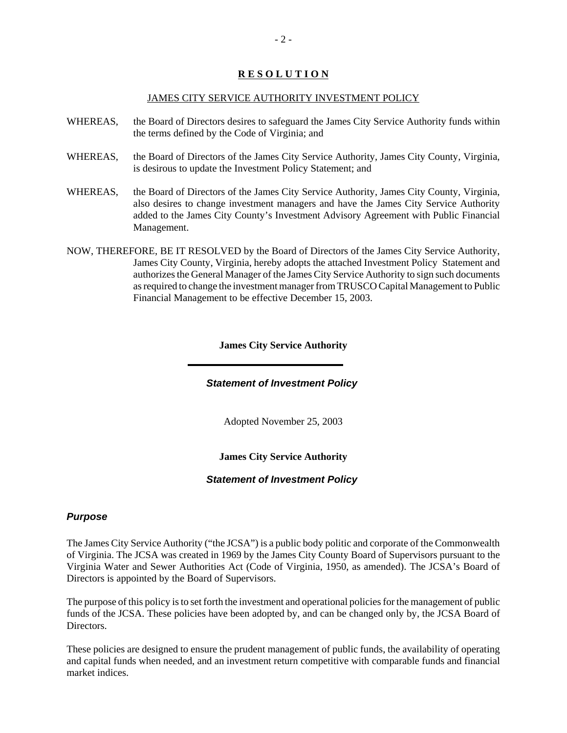# **R E S O L U T I O N**

#### JAMES CITY SERVICE AUTHORITY INVESTMENT POLICY

- WHEREAS, the Board of Directors desires to safeguard the James City Service Authority funds within the terms defined by the Code of Virginia; and
- WHEREAS, the Board of Directors of the James City Service Authority, James City County, Virginia, is desirous to update the Investment Policy Statement; and
- WHEREAS, the Board of Directors of the James City Service Authority, James City County, Virginia, also desires to change investment managers and have the James City Service Authority added to the James City County's Investment Advisory Agreement with Public Financial Management.
- NOW, THEREFORE, BE IT RESOLVED by the Board of Directors of the James City Service Authority, James City County, Virginia, hereby adopts the attached Investment Policy Statement and authorizes the General Manager of the James City Service Authority to sign such documents as required to change the investment manager from TRUSCO Capital Management to Public Financial Management to be effective December 15, 2003.

## **James City Service Authority**

## *Statement of Investment Policy*

Adopted November 25, 2003

## **James City Service Authority**

## *Statement of Investment Policy*

## *Purpose*

The James City Service Authority ("the JCSA") is a public body politic and corporate of the Commonwealth of Virginia. The JCSA was created in 1969 by the James City County Board of Supervisors pursuant to the Virginia Water and Sewer Authorities Act (Code of Virginia, 1950, as amended). The JCSA's Board of Directors is appointed by the Board of Supervisors.

The purpose of this policy is to set forth the investment and operational policies for the management of public funds of the JCSA. These policies have been adopted by, and can be changed only by, the JCSA Board of Directors.

These policies are designed to ensure the prudent management of public funds, the availability of operating and capital funds when needed, and an investment return competitive with comparable funds and financial market indices.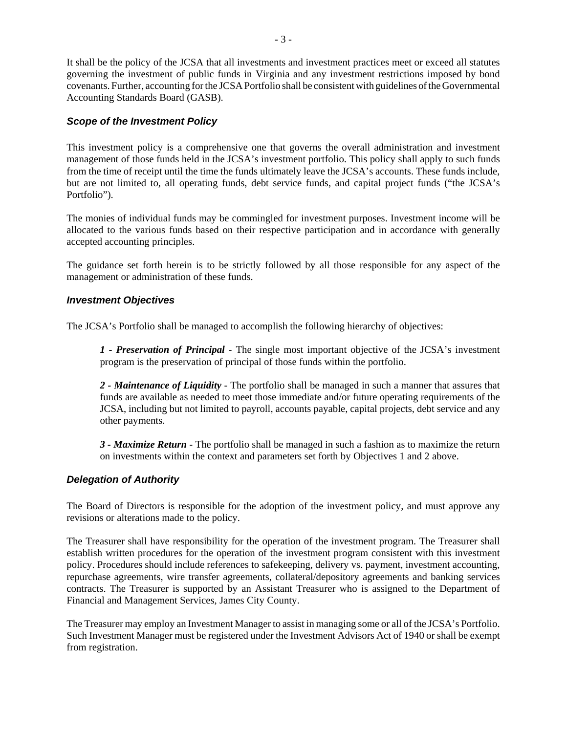It shall be the policy of the JCSA that all investments and investment practices meet or exceed all statutes governing the investment of public funds in Virginia and any investment restrictions imposed by bond covenants. Further, accounting for the JCSA Portfolio shall be consistent with guidelines of the Governmental Accounting Standards Board (GASB).

# *Scope of the Investment Policy*

This investment policy is a comprehensive one that governs the overall administration and investment management of those funds held in the JCSA's investment portfolio. This policy shall apply to such funds from the time of receipt until the time the funds ultimately leave the JCSA's accounts. These funds include, but are not limited to, all operating funds, debt service funds, and capital project funds ("the JCSA's Portfolio").

The monies of individual funds may be commingled for investment purposes. Investment income will be allocated to the various funds based on their respective participation and in accordance with generally accepted accounting principles.

The guidance set forth herein is to be strictly followed by all those responsible for any aspect of the management or administration of these funds.

# *Investment Objectives*

The JCSA's Portfolio shall be managed to accomplish the following hierarchy of objectives:

*1 - Preservation of Principal* - The single most important objective of the JCSA's investment program is the preservation of principal of those funds within the portfolio.

*2 - Maintenance of Liquidity* - The portfolio shall be managed in such a manner that assures that funds are available as needed to meet those immediate and/or future operating requirements of the JCSA, including but not limited to payroll, accounts payable, capital projects, debt service and any other payments.

*3 - Maximize Return* - The portfolio shall be managed in such a fashion as to maximize the return on investments within the context and parameters set forth by Objectives 1 and 2 above.

## *Delegation of Authority*

The Board of Directors is responsible for the adoption of the investment policy, and must approve any revisions or alterations made to the policy.

The Treasurer shall have responsibility for the operation of the investment program. The Treasurer shall establish written procedures for the operation of the investment program consistent with this investment policy. Procedures should include references to safekeeping, delivery vs. payment, investment accounting, repurchase agreements, wire transfer agreements, collateral/depository agreements and banking services contracts. The Treasurer is supported by an Assistant Treasurer who is assigned to the Department of Financial and Management Services, James City County.

The Treasurer may employ an Investment Manager to assist in managing some or all of the JCSA's Portfolio. Such Investment Manager must be registered under the Investment Advisors Act of 1940 or shall be exempt from registration.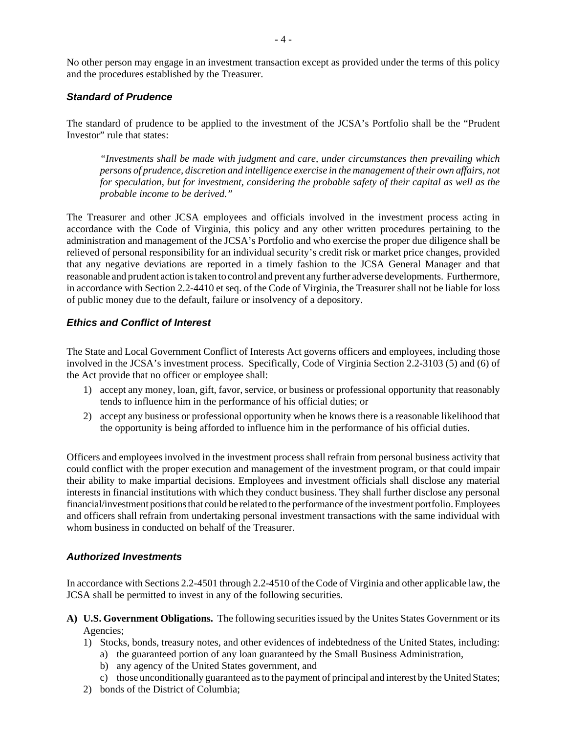No other person may engage in an investment transaction except as provided under the terms of this policy and the procedures established by the Treasurer.

# *Standard of Prudence*

The standard of prudence to be applied to the investment of the JCSA's Portfolio shall be the "Prudent Investor" rule that states:

*"Investments shall be made with judgment and care, under circumstances then prevailing which persons of prudence, discretion and intelligence exercise in the management of their own affairs, not for speculation, but for investment, considering the probable safety of their capital as well as the probable income to be derived."*

The Treasurer and other JCSA employees and officials involved in the investment process acting in accordance with the Code of Virginia, this policy and any other written procedures pertaining to the administration and management of the JCSA's Portfolio and who exercise the proper due diligence shall be relieved of personal responsibility for an individual security's credit risk or market price changes, provided that any negative deviations are reported in a timely fashion to the JCSA General Manager and that reasonable and prudent action is taken to control and prevent any further adverse developments. Furthermore, in accordance with Section 2.2-4410 et seq. of the Code of Virginia, the Treasurer shall not be liable for loss of public money due to the default, failure or insolvency of a depository.

# *Ethics and Conflict of Interest*

The State and Local Government Conflict of Interests Act governs officers and employees, including those involved in the JCSA's investment process. Specifically, Code of Virginia Section 2.2-3103 (5) and (6) of the Act provide that no officer or employee shall:

- 1) accept any money, loan, gift, favor, service, or business or professional opportunity that reasonably tends to influence him in the performance of his official duties; or
- 2) accept any business or professional opportunity when he knows there is a reasonable likelihood that the opportunity is being afforded to influence him in the performance of his official duties.

Officers and employees involved in the investment process shall refrain from personal business activity that could conflict with the proper execution and management of the investment program, or that could impair their ability to make impartial decisions. Employees and investment officials shall disclose any material interests in financial institutions with which they conduct business. They shall further disclose any personal financial/investment positions that could be related to the performance of the investment portfolio. Employees and officers shall refrain from undertaking personal investment transactions with the same individual with whom business in conducted on behalf of the Treasurer.

## *Authorized Investments*

In accordance with Sections 2.2-4501 through 2.2-4510 of the Code of Virginia and other applicable law, the JCSA shall be permitted to invest in any of the following securities.

- **A) U.S. Government Obligations.** The following securities issued by the Unites States Government or its Agencies;
	- 1) Stocks, bonds, treasury notes, and other evidences of indebtedness of the United States, including:
		- a) the guaranteed portion of any loan guaranteed by the Small Business Administration,
		- b) any agency of the United States government, and
		- c) those unconditionally guaranteed as to the payment of principal and interest by the United States;
	- 2) bonds of the District of Columbia;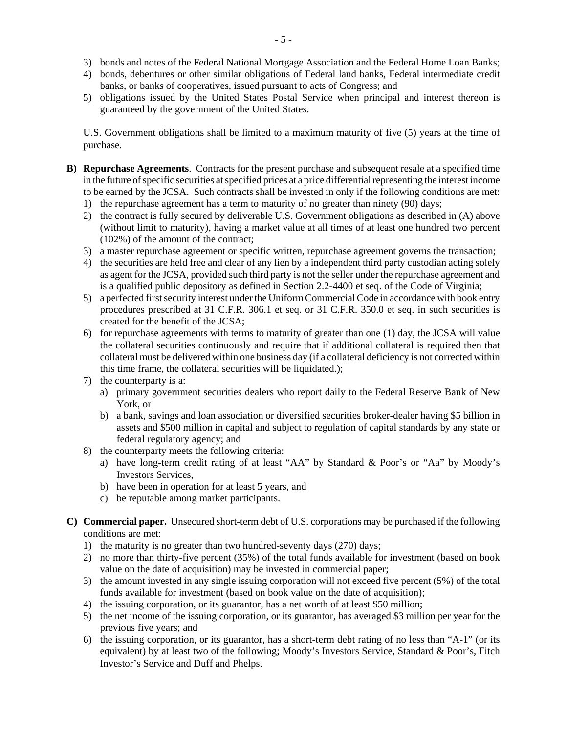- 3) bonds and notes of the Federal National Mortgage Association and the Federal Home Loan Banks;
- 4) bonds, debentures or other similar obligations of Federal land banks, Federal intermediate credit banks, or banks of cooperatives, issued pursuant to acts of Congress; and
- 5) obligations issued by the United States Postal Service when principal and interest thereon is guaranteed by the government of the United States.

U.S. Government obligations shall be limited to a maximum maturity of five (5) years at the time of purchase.

- **B) Repurchase Agreements**. Contracts for the present purchase and subsequent resale at a specified time in the future of specific securities at specified prices at a price differential representing the interest income to be earned by the JCSA. Such contracts shall be invested in only if the following conditions are met:
	- 1) the repurchase agreement has a term to maturity of no greater than ninety (90) days;
	- 2) the contract is fully secured by deliverable U.S. Government obligations as described in (A) above (without limit to maturity), having a market value at all times of at least one hundred two percent (102%) of the amount of the contract;
	- 3) a master repurchase agreement or specific written, repurchase agreement governs the transaction;
	- 4) the securities are held free and clear of any lien by a independent third party custodian acting solely as agent for the JCSA, provided such third party is not the seller under the repurchase agreement and is a qualified public depository as defined in Section 2.2-4400 et seq. of the Code of Virginia;
	- 5) a perfected first security interest under the Uniform Commercial Code in accordance with book entry procedures prescribed at 31 C.F.R. 306.1 et seq. or 31 C.F.R. 350.0 et seq. in such securities is created for the benefit of the JCSA;
	- 6) for repurchase agreements with terms to maturity of greater than one (1) day, the JCSA will value the collateral securities continuously and require that if additional collateral is required then that collateral must be delivered within one business day (if a collateral deficiency is not corrected within this time frame, the collateral securities will be liquidated.);
	- 7) the counterparty is a:
		- a) primary government securities dealers who report daily to the Federal Reserve Bank of New York, or
		- b) a bank, savings and loan association or diversified securities broker-dealer having \$5 billion in assets and \$500 million in capital and subject to regulation of capital standards by any state or federal regulatory agency; and
	- 8) the counterparty meets the following criteria:
		- a) have long-term credit rating of at least "AA" by Standard & Poor's or "Aa" by Moody's Investors Services,
		- b) have been in operation for at least 5 years, and
		- c) be reputable among market participants.
- **C) Commercial paper.** Unsecured short-term debt of U.S. corporations may be purchased if the following conditions are met:
	- 1) the maturity is no greater than two hundred-seventy days (270) days;
	- 2) no more than thirty-five percent (35%) of the total funds available for investment (based on book value on the date of acquisition) may be invested in commercial paper;
	- 3) the amount invested in any single issuing corporation will not exceed five percent (5%) of the total funds available for investment (based on book value on the date of acquisition);
	- 4) the issuing corporation, or its guarantor, has a net worth of at least \$50 million;
	- 5) the net income of the issuing corporation, or its guarantor, has averaged \$3 million per year for the previous five years; and
	- 6) the issuing corporation, or its guarantor, has a short-term debt rating of no less than "A-1" (or its equivalent) by at least two of the following; Moody's Investors Service, Standard & Poor's, Fitch Investor's Service and Duff and Phelps.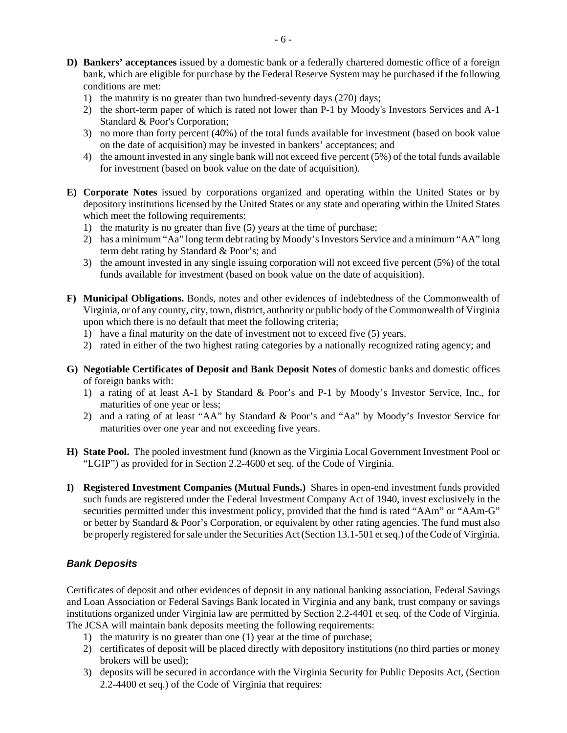- **D) Bankers' acceptances** issued by a domestic bank or a federally chartered domestic office of a foreign bank, which are eligible for purchase by the Federal Reserve System may be purchased if the following conditions are met:
	- 1) the maturity is no greater than two hundred-seventy days (270) days;
	- 2) the short-term paper of which is rated not lower than P-1 by Moody's Investors Services and A-1 Standard & Poor's Corporation;
	- 3) no more than forty percent (40%) of the total funds available for investment (based on book value on the date of acquisition) may be invested in bankers' acceptances; and
	- 4) the amount invested in any single bank will not exceed five percent (5%) of the total funds available for investment (based on book value on the date of acquisition).
- **E) Corporate Notes** issued by corporations organized and operating within the United States or by depository institutions licensed by the United States or any state and operating within the United States which meet the following requirements:
	- 1) the maturity is no greater than five (5) years at the time of purchase;
	- 2) has a minimum "Aa" long term debt rating by Moody's Investors Service and a minimum "AA" long term debt rating by Standard & Poor's; and
	- 3) the amount invested in any single issuing corporation will not exceed five percent (5%) of the total funds available for investment (based on book value on the date of acquisition).
- **F) Municipal Obligations.** Bonds, notes and other evidences of indebtedness of the Commonwealth of Virginia, or of any county, city, town, district, authority or public body of the Commonwealth of Virginia upon which there is no default that meet the following criteria;
	- 1) have a final maturity on the date of investment not to exceed five (5) years.
	- 2) rated in either of the two highest rating categories by a nationally recognized rating agency; and
- **G) Negotiable Certificates of Deposit and Bank Deposit Notes** of domestic banks and domestic offices of foreign banks with:
	- 1) a rating of at least A-1 by Standard & Poor's and P-1 by Moody's Investor Service, Inc., for maturities of one year or less;
	- 2) and a rating of at least "AA" by Standard & Poor's and "Aa" by Moody's Investor Service for maturities over one year and not exceeding five years.
- **H) State Pool.** The pooled investment fund (known as the Virginia Local Government Investment Pool or "LGIP") as provided for in Section 2.2-4600 et seq. of the Code of Virginia.
- **I) Registered Investment Companies (Mutual Funds.)** Shares in open-end investment funds provided such funds are registered under the Federal Investment Company Act of 1940, invest exclusively in the securities permitted under this investment policy, provided that the fund is rated "AAm" or "AAm-G" or better by Standard & Poor's Corporation, or equivalent by other rating agencies. The fund must also be properly registered for sale under the Securities Act (Section 13.1-501 et seq.) of the Code of Virginia.

# *Bank Deposits*

Certificates of deposit and other evidences of deposit in any national banking association, Federal Savings and Loan Association or Federal Savings Bank located in Virginia and any bank, trust company or savings institutions organized under Virginia law are permitted by Section 2.2-4401 et seq. of the Code of Virginia. The JCSA will maintain bank deposits meeting the following requirements:

- 1) the maturity is no greater than one (1) year at the time of purchase;
- 2) certificates of deposit will be placed directly with depository institutions (no third parties or money brokers will be used);
- 3) deposits will be secured in accordance with the Virginia Security for Public Deposits Act, (Section 2.2-4400 et seq.) of the Code of Virginia that requires: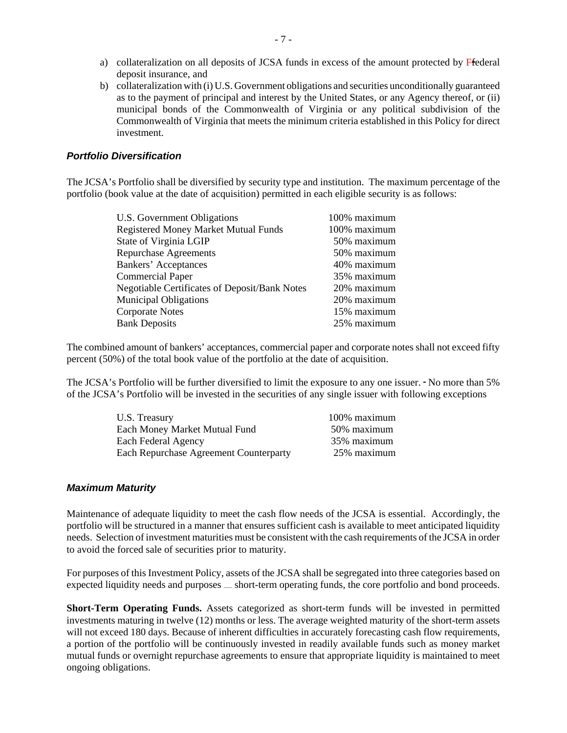- a) collateralization on all deposits of JCSA funds in excess of the amount protected by Ffederal deposit insurance, and
- b) collateralization with (i) U.S. Government obligations and securities unconditionally guaranteed as to the payment of principal and interest by the United States, or any Agency thereof, or (ii) municipal bonds of the Commonwealth of Virginia or any political subdivision of the Commonwealth of Virginia that meets the minimum criteria established in this Policy for direct investment.

#### *Portfolio Diversification*

The JCSA's Portfolio shall be diversified by security type and institution. The maximum percentage of the portfolio (book value at the date of acquisition) permitted in each eligible security is as follows:

| U.S. Government Obligations                          | 100% maximum |
|------------------------------------------------------|--------------|
| <b>Registered Money Market Mutual Funds</b>          | 100% maximum |
| State of Virginia LGIP                               | 50% maximum  |
| <b>Repurchase Agreements</b>                         | 50% maximum  |
| Bankers' Acceptances                                 | 40% maximum  |
| <b>Commercial Paper</b>                              | 35% maximum  |
| <b>Negotiable Certificates of Deposit/Bank Notes</b> | 20% maximum  |
| <b>Municipal Obligations</b>                         | 20% maximum  |
| <b>Corporate Notes</b>                               | 15% maximum  |
| <b>Bank Deposits</b>                                 | 25% maximum  |
|                                                      |              |

The combined amount of bankers' acceptances, commercial paper and corporate notes shall not exceed fifty percent (50%) of the total book value of the portfolio at the date of acquisition.

The JCSA's Portfolio will be further diversified to limit the exposure to any one issuer. No more than 5% of the JCSA's Portfolio will be invested in the securities of any single issuer with following exceptions

| U.S. Treasury                                 | 100% maximum |
|-----------------------------------------------|--------------|
| Each Money Market Mutual Fund                 | 50% maximum  |
| Each Federal Agency                           | 35% maximum  |
| <b>Each Repurchase Agreement Counterparty</b> | 25% maximum  |

#### *Maximum Maturity*

Maintenance of adequate liquidity to meet the cash flow needs of the JCSA is essential. Accordingly, the portfolio will be structured in a manner that ensures sufficient cash is available to meet anticipated liquidity needs. Selection of investment maturities must be consistent with the cash requirements of the JCSA in order to avoid the forced sale of securities prior to maturity.

For purposes of this Investment Policy, assets of the JCSA shall be segregated into three categories based on expected liquidity needs and purposes  $\equiv$  short-term operating funds, the core portfolio and bond proceeds.

**Short-Term Operating Funds.** Assets categorized as short-term funds will be invested in permitted investments maturing in twelve (12) months or less. The average weighted maturity of the short-term assets will not exceed 180 days. Because of inherent difficulties in accurately forecasting cash flow requirements, a portion of the portfolio will be continuously invested in readily available funds such as money market mutual funds or overnight repurchase agreements to ensure that appropriate liquidity is maintained to meet ongoing obligations.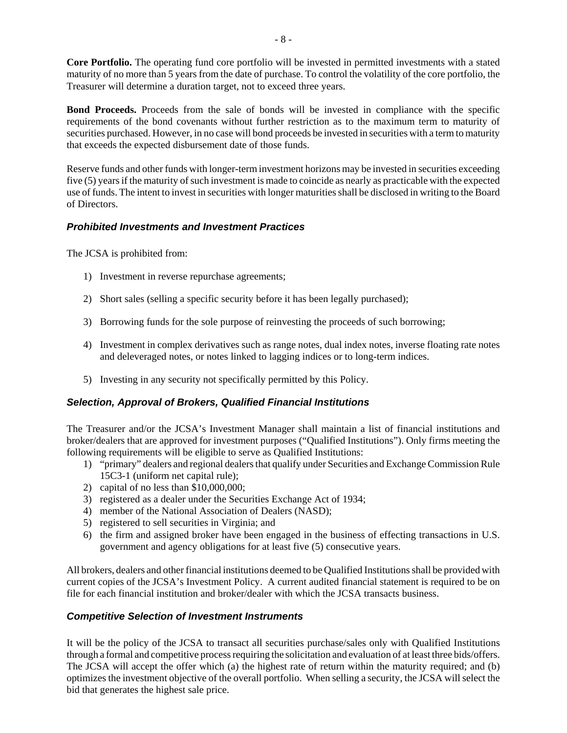**Core Portfolio.** The operating fund core portfolio will be invested in permitted investments with a stated maturity of no more than 5 years from the date of purchase. To control the volatility of the core portfolio, the Treasurer will determine a duration target, not to exceed three years.

**Bond Proceeds.** Proceeds from the sale of bonds will be invested in compliance with the specific requirements of the bond covenants without further restriction as to the maximum term to maturity of securities purchased. However, in no case will bond proceeds be invested in securities with a term to maturity that exceeds the expected disbursement date of those funds.

Reserve funds and other funds with longer-term investment horizons may be invested in securities exceeding five (5) years if the maturity of such investment is made to coincide as nearly as practicable with the expected use of funds. The intent to invest in securities with longer maturities shall be disclosed in writing to the Board of Directors.

# *Prohibited Investments and Investment Practices*

The JCSA is prohibited from:

- 1) Investment in reverse repurchase agreements;
- 2) Short sales (selling a specific security before it has been legally purchased);
- 3) Borrowing funds for the sole purpose of reinvesting the proceeds of such borrowing;
- 4) Investment in complex derivatives such as range notes, dual index notes, inverse floating rate notes and deleveraged notes, or notes linked to lagging indices or to long-term indices.
- 5) Investing in any security not specifically permitted by this Policy.

## *Selection, Approval of Brokers, Qualified Financial Institutions*

The Treasurer and/or the JCSA's Investment Manager shall maintain a list of financial institutions and broker/dealers that are approved for investment purposes ("Qualified Institutions"). Only firms meeting the following requirements will be eligible to serve as Qualified Institutions:

- 1) "primary" dealers and regional dealers that qualify under Securities and Exchange Commission Rule 15C3-1 (uniform net capital rule);
- 2) capital of no less than \$10,000,000;
- 3) registered as a dealer under the Securities Exchange Act of 1934;
- 4) member of the National Association of Dealers (NASD);
- 5) registered to sell securities in Virginia; and
- 6) the firm and assigned broker have been engaged in the business of effecting transactions in U.S. government and agency obligations for at least five (5) consecutive years.

All brokers, dealers and other financial institutions deemed to be Qualified Institutions shall be provided with current copies of the JCSA's Investment Policy. A current audited financial statement is required to be on file for each financial institution and broker/dealer with which the JCSA transacts business.

## *Competitive Selection of Investment Instruments*

It will be the policy of the JCSA to transact all securities purchase/sales only with Qualified Institutions through a formal and competitive process requiring the solicitation and evaluation of at least three bids/offers. The JCSA will accept the offer which (a) the highest rate of return within the maturity required; and (b) optimizes the investment objective of the overall portfolio. When selling a security, the JCSA will select the bid that generates the highest sale price.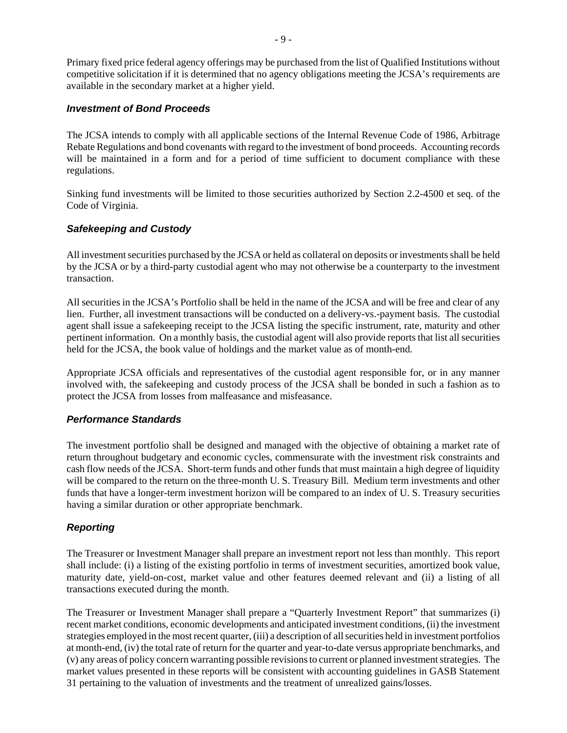Primary fixed price federal agency offerings may be purchased from the list of Qualified Institutions without competitive solicitation if it is determined that no agency obligations meeting the JCSA's requirements are available in the secondary market at a higher yield.

## *Investment of Bond Proceeds*

The JCSA intends to comply with all applicable sections of the Internal Revenue Code of 1986, Arbitrage Rebate Regulations and bond covenants with regard to the investment of bond proceeds. Accounting records will be maintained in a form and for a period of time sufficient to document compliance with these regulations.

Sinking fund investments will be limited to those securities authorized by Section 2.2-4500 et seq. of the Code of Virginia.

# *Safekeeping and Custody*

All investment securities purchased by the JCSA or held as collateral on deposits or investments shall be held by the JCSA or by a third-party custodial agent who may not otherwise be a counterparty to the investment transaction.

All securities in the JCSA's Portfolio shall be held in the name of the JCSA and will be free and clear of any lien. Further, all investment transactions will be conducted on a delivery-vs.-payment basis. The custodial agent shall issue a safekeeping receipt to the JCSA listing the specific instrument, rate, maturity and other pertinent information. On a monthly basis, the custodial agent will also provide reports that list all securities held for the JCSA, the book value of holdings and the market value as of month-end.

Appropriate JCSA officials and representatives of the custodial agent responsible for, or in any manner involved with, the safekeeping and custody process of the JCSA shall be bonded in such a fashion as to protect the JCSA from losses from malfeasance and misfeasance.

## *Performance Standards*

The investment portfolio shall be designed and managed with the objective of obtaining a market rate of return throughout budgetary and economic cycles, commensurate with the investment risk constraints and cash flow needs of the JCSA. Short-term funds and other funds that must maintain a high degree of liquidity will be compared to the return on the three-month U. S. Treasury Bill. Medium term investments and other funds that have a longer-term investment horizon will be compared to an index of U. S. Treasury securities having a similar duration or other appropriate benchmark.

# *Reporting*

The Treasurer or Investment Manager shall prepare an investment report not less than monthly. This report shall include: (i) a listing of the existing portfolio in terms of investment securities, amortized book value, maturity date, yield-on-cost, market value and other features deemed relevant and (ii) a listing of all transactions executed during the month.

The Treasurer or Investment Manager shall prepare a "Quarterly Investment Report" that summarizes (i) recent market conditions, economic developments and anticipated investment conditions, (ii) the investment strategies employed in the most recent quarter, (iii) a description of all securities held in investment portfolios at month-end, (iv) the total rate of return for the quarter and year-to-date versus appropriate benchmarks, and (v) any areas of policy concern warranting possible revisions to current or planned investment strategies. The market values presented in these reports will be consistent with accounting guidelines in GASB Statement 31 pertaining to the valuation of investments and the treatment of unrealized gains/losses.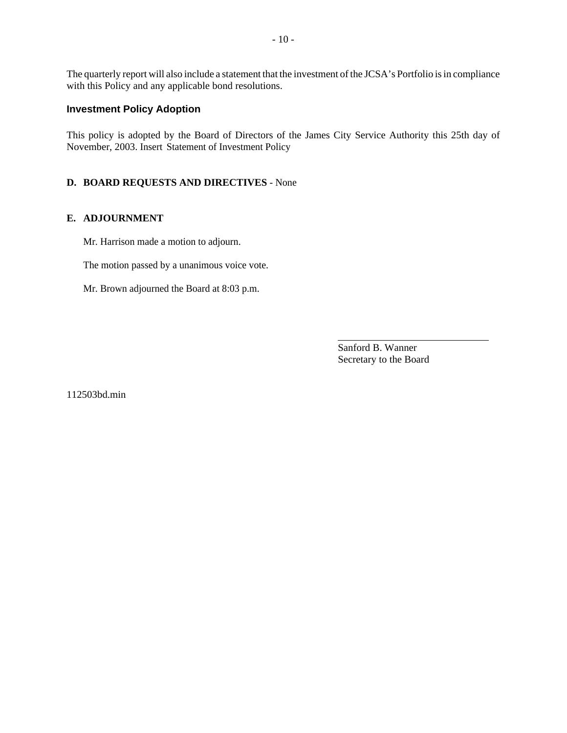The quarterly report will also include a statement that the investment of the JCSA's Portfolio is in compliance with this Policy and any applicable bond resolutions.

## **Investment Policy Adoption**

This policy is adopted by the Board of Directors of the James City Service Authority this 25th day of November, 2003. Insert Statement of Investment Policy

#### **D. BOARD REQUESTS AND DIRECTIVES** - None

#### **E. ADJOURNMENT**

Mr. Harrison made a motion to adjourn.

The motion passed by a unanimous voice vote.

Mr. Brown adjourned the Board at 8:03 p.m.

Sanford B. Wanner Secretary to the Board

l

112503bd.min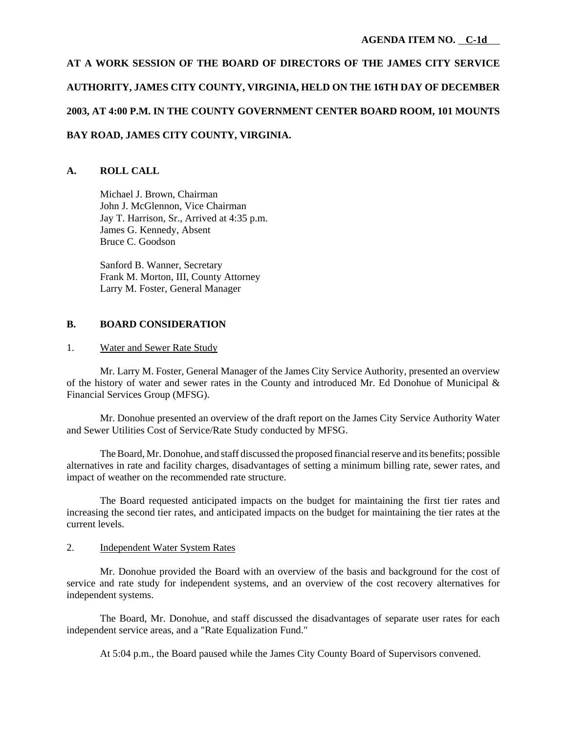# **AT A WORK SESSION OF THE BOARD OF DIRECTORS OF THE JAMES CITY SERVICE AUTHORITY, JAMES CITY COUNTY, VIRGINIA, HELD ON THE 16TH DAY OF DECEMBER 2003, AT 4:00 P.M. IN THE COUNTY GOVERNMENT CENTER BOARD ROOM, 101 MOUNTS BAY ROAD, JAMES CITY COUNTY, VIRGINIA.**

## **A. ROLL CALL**

Michael J. Brown, Chairman John J. McGlennon, Vice Chairman Jay T. Harrison, Sr., Arrived at 4:35 p.m. James G. Kennedy, Absent Bruce C. Goodson

Sanford B. Wanner, Secretary Frank M. Morton, III, County Attorney Larry M. Foster, General Manager

#### **B. BOARD CONSIDERATION**

#### 1. Water and Sewer Rate Study

Mr. Larry M. Foster, General Manager of the James City Service Authority, presented an overview of the history of water and sewer rates in the County and introduced Mr. Ed Donohue of Municipal & Financial Services Group (MFSG).

Mr. Donohue presented an overview of the draft report on the James City Service Authority Water and Sewer Utilities Cost of Service/Rate Study conducted by MFSG.

The Board, Mr. Donohue, and staff discussed the proposed financial reserve and its benefits; possible alternatives in rate and facility charges, disadvantages of setting a minimum billing rate, sewer rates, and impact of weather on the recommended rate structure.

The Board requested anticipated impacts on the budget for maintaining the first tier rates and increasing the second tier rates, and anticipated impacts on the budget for maintaining the tier rates at the current levels.

#### 2. Independent Water System Rates

Mr. Donohue provided the Board with an overview of the basis and background for the cost of service and rate study for independent systems, and an overview of the cost recovery alternatives for independent systems.

The Board, Mr. Donohue, and staff discussed the disadvantages of separate user rates for each independent service areas, and a "Rate Equalization Fund."

At 5:04 p.m., the Board paused while the James City County Board of Supervisors convened.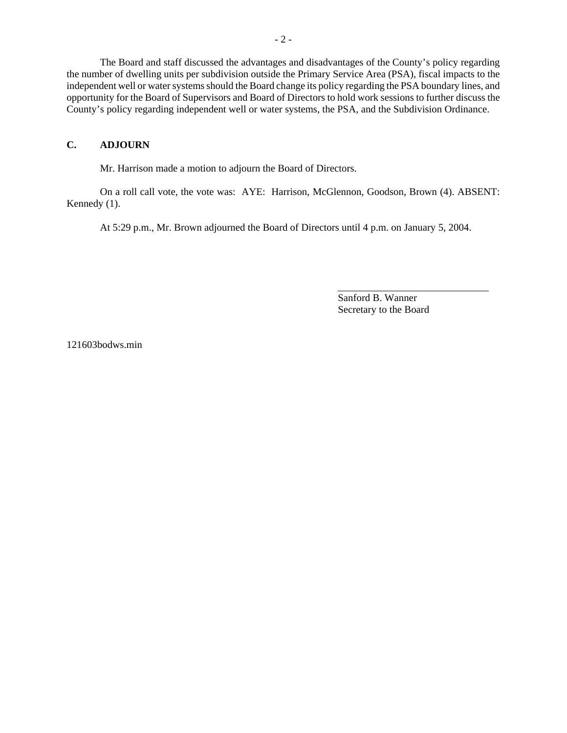The Board and staff discussed the advantages and disadvantages of the County's policy regarding the number of dwelling units per subdivision outside the Primary Service Area (PSA), fiscal impacts to the independent well or water systems should the Board change its policy regarding the PSA boundary lines, and opportunity for the Board of Supervisors and Board of Directors to hold work sessions to further discuss the County's policy regarding independent well or water systems, the PSA, and the Subdivision Ordinance.

## **C. ADJOURN**

Mr. Harrison made a motion to adjourn the Board of Directors.

On a roll call vote, the vote was: AYE: Harrison, McGlennon, Goodson, Brown (4). ABSENT: Kennedy (1).

At 5:29 p.m., Mr. Brown adjourned the Board of Directors until 4 p.m. on January 5, 2004.

Sanford B. Wanner Secretary to the Board

l

121603bodws.min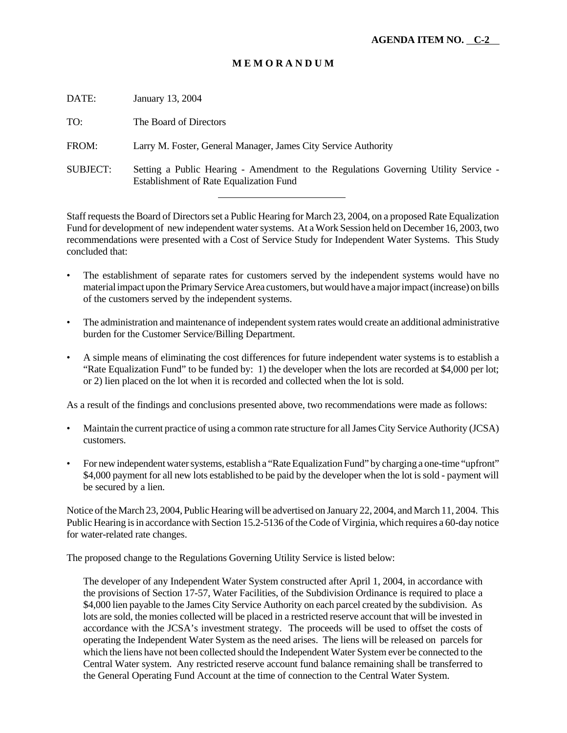# **M E M O R A N D U M**

| DATE:           | January 13, 2004                                                                                                                      |
|-----------------|---------------------------------------------------------------------------------------------------------------------------------------|
| TO:             | The Board of Directors                                                                                                                |
| FROM:           | Larry M. Foster, General Manager, James City Service Authority                                                                        |
| <b>SUBJECT:</b> | Setting a Public Hearing - Amendment to the Regulations Governing Utility Service -<br><b>Establishment of Rate Equalization Fund</b> |
|                 |                                                                                                                                       |

Staff requests the Board of Directors set a Public Hearing for March 23, 2004, on a proposed Rate Equalization Fund for development of new independent water systems. At a Work Session held on December 16, 2003, two recommendations were presented with a Cost of Service Study for Independent Water Systems. This Study concluded that:

- The establishment of separate rates for customers served by the independent systems would have no material impact upon the Primary Service Area customers, but would have a major impact (increase) on bills of the customers served by the independent systems.
- The administration and maintenance of independent system rates would create an additional administrative burden for the Customer Service/Billing Department.
- A simple means of eliminating the cost differences for future independent water systems is to establish a "Rate Equalization Fund" to be funded by: 1) the developer when the lots are recorded at \$4,000 per lot; or 2) lien placed on the lot when it is recorded and collected when the lot is sold.

As a result of the findings and conclusions presented above, two recommendations were made as follows:

- Maintain the current practice of using a common rate structure for all James City Service Authority (JCSA) customers.
- For new independent water systems, establish a "Rate Equalization Fund" by charging a one-time "upfront" \$4,000 payment for all new lots established to be paid by the developer when the lot is sold - payment will be secured by a lien.

Notice of the March 23, 2004, Public Hearing will be advertised on January 22, 2004, and March 11, 2004. This Public Hearing is in accordance with Section 15.2-5136 of the Code of Virginia, which requires a 60-day notice for water-related rate changes.

The proposed change to the Regulations Governing Utility Service is listed below:

The developer of any Independent Water System constructed after April 1, 2004, in accordance with the provisions of Section 17-57, Water Facilities, of the Subdivision Ordinance is required to place a \$4,000 lien payable to the James City Service Authority on each parcel created by the subdivision. As lots are sold, the monies collected will be placed in a restricted reserve account that will be invested in accordance with the JCSA's investment strategy. The proceeds will be used to offset the costs of operating the Independent Water System as the need arises. The liens will be released on parcels for which the liens have not been collected should the Independent Water System ever be connected to the Central Water system. Any restricted reserve account fund balance remaining shall be transferred to the General Operating Fund Account at the time of connection to the Central Water System.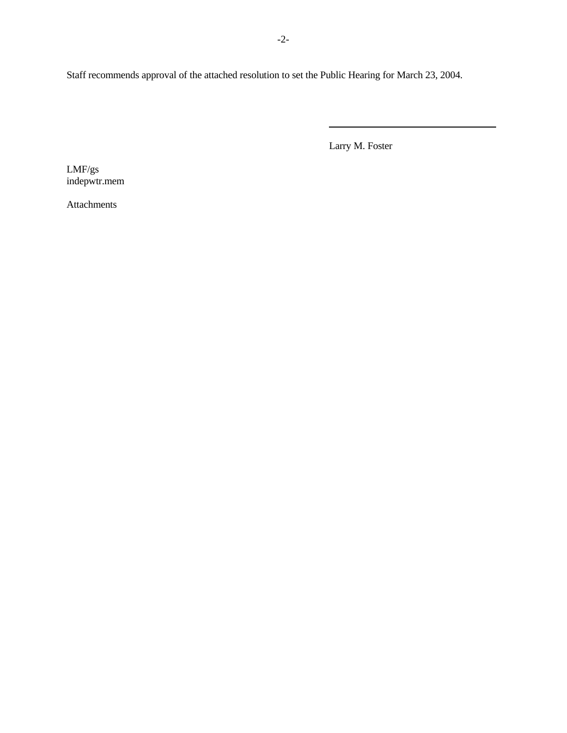Staff recommends approval of the attached resolution to set the Public Hearing for March 23, 2004.

Larry M. Foster

 $\overline{a}$ 

LMF/gs indepwtr.mem

Attachments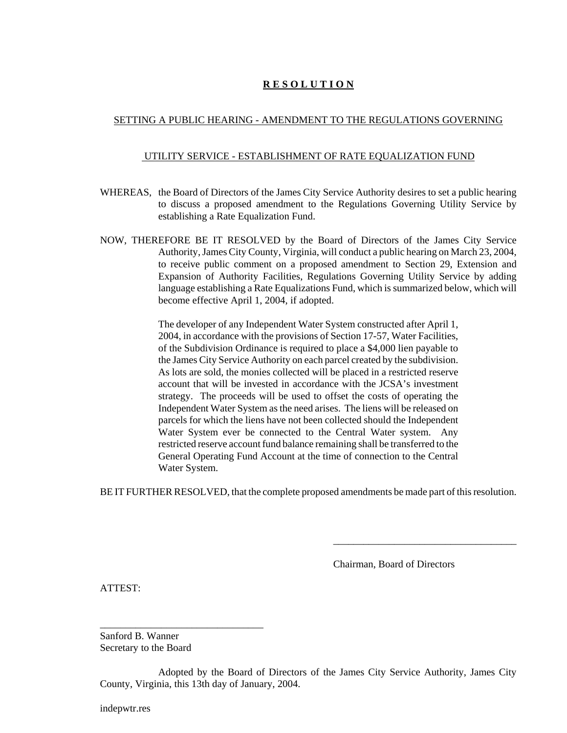# **R E S O L U T I O N**

# SETTING A PUBLIC HEARING - AMENDMENT TO THE REGULATIONS GOVERNING

## UTILITY SERVICE - ESTABLISHMENT OF RATE EQUALIZATION FUND

- WHEREAS, the Board of Directors of the James City Service Authority desires to set a public hearing to discuss a proposed amendment to the Regulations Governing Utility Service by establishing a Rate Equalization Fund.
- NOW, THEREFORE BE IT RESOLVED by the Board of Directors of the James City Service Authority, James City County, Virginia, will conduct a public hearing on March 23, 2004, to receive public comment on a proposed amendment to Section 29, Extension and Expansion of Authority Facilities, Regulations Governing Utility Service by adding language establishing a Rate Equalizations Fund, which is summarized below, which will become effective April 1, 2004, if adopted.

The developer of any Independent Water System constructed after April 1, 2004, in accordance with the provisions of Section 17-57, Water Facilities, of the Subdivision Ordinance is required to place a \$4,000 lien payable to the James City Service Authority on each parcel created by the subdivision. As lots are sold, the monies collected will be placed in a restricted reserve account that will be invested in accordance with the JCSA's investment strategy. The proceeds will be used to offset the costs of operating the Independent Water System as the need arises. The liens will be released on parcels for which the liens have not been collected should the Independent Water System ever be connected to the Central Water system. Any restricted reserve account fund balance remaining shall be transferred to the General Operating Fund Account at the time of connection to the Central Water System.

BE IT FURTHER RESOLVED, that the complete proposed amendments be made part of this resolution.

Chairman, Board of Directors

\_\_\_\_\_\_\_\_\_\_\_\_\_\_\_\_\_\_\_\_\_\_\_\_\_\_\_\_\_\_\_\_\_\_\_\_

ATTEST:

Sanford B. Wanner Secretary to the Board

\_\_\_\_\_\_\_\_\_\_\_\_\_\_\_\_\_\_\_\_\_\_\_\_\_\_\_\_\_\_\_\_

Adopted by the Board of Directors of the James City Service Authority, James City County, Virginia, this 13th day of January, 2004.

indepwtr.res